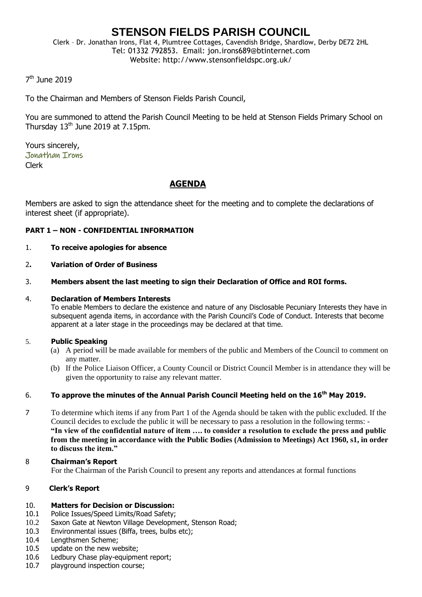# **STENSON FIELDS PARISH COUNCIL**

Clerk – Dr. Jonathan Irons, Flat 4, Plumtree Cottages, Cavendish Bridge, Shardlow, Derby DE72 2HL Tel: 01332 792853. Email: jon.irons689@btinternet.com Website: http://www.stensonfieldspc.org.uk/

# 7<sup>th</sup> June 2019

To the Chairman and Members of Stenson Fields Parish Council,

You are summoned to attend the Parish Council Meeting to be held at Stenson Fields Primary School on Thursday  $13<sup>th</sup>$  June 2019 at 7.15pm.

Yours sincerely, Jonathan Irons Clerk

# **AGENDA**

Members are asked to sign the attendance sheet for the meeting and to complete the declarations of interest sheet (if appropriate).

# **PART 1 – NON - CONFIDENTIAL INFORMATION**

- 1. **To receive apologies for absence**
- 2**. Variation of Order of Business**
- 3. **Members absent the last meeting to sign their Declaration of Office and ROI forms.**

### 4. **Declaration of Members Interests**

To enable Members to declare the existence and nature of any Disclosable Pecuniary Interests they have in subsequent agenda items, in accordance with the Parish Council's Code of Conduct. Interests that become apparent at a later stage in the proceedings may be declared at that time.

# 5. **Public Speaking**

- (a) A period will be made available for members of the public and Members of the Council to comment on any matter.
- (b) If the Police Liaison Officer, a County Council or District Council Member is in attendance they will be given the opportunity to raise any relevant matter.

# 6. **To approve the minutes of the Annual Parish Council Meeting held on the 16th May 2019.**

7 To determine which items if any from Part 1 of the Agenda should be taken with the public excluded. If the Council decides to exclude the public it will be necessary to pass a resolution in the following terms: - **"In view of the confidential nature of item …. to consider a resolution to exclude the press and public from the meeting in accordance with the Public Bodies (Admission to Meetings) Act 1960, s1, in order to discuss the item."** 

#### 8 **Chairman's Report** For the Chairman of the Parish Council to present any reports and attendances at formal functions

# 9 **Clerk's Report**

#### 10. **Matters for Decision or Discussion:**

- 10.1 Police Issues/Speed Limits/Road Safety;
- 10.2 Saxon Gate at Newton Village Development, Stenson Road;
- 10.3 Environmental issues (Biffa, trees, bulbs etc);
- 10.4 Lengthsmen Scheme;
- 10.5 update on the new website;
- 10.6 Ledbury Chase play-equipment report;
- 10.7 playground inspection course;